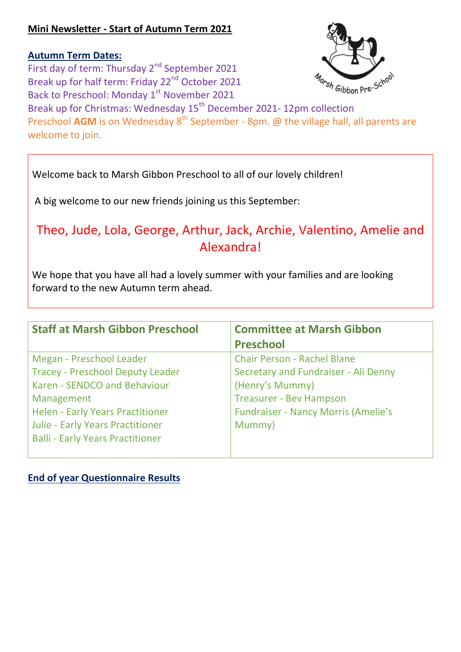# **Mini Newsletter - Start of Autumn Term 2021**

**Autumn Term Dates:** First day of term: Thursday 2<sup>nd</sup> September 2021 Break up for half term: Friday 22<sup>nd</sup> October 2021 Back to Preschool: Monday 1<sup>st</sup> November 2021 Break up for Christmas: Wednesday 15<sup>th</sup> December 2021- 12pm collection Preschool AGM is on Wednesday 8<sup>th</sup> September - 8pm. @ the village hall, all parents are welcome to join.

Welcome back to Marsh Gibbon Preschool to all of our lovely children!

A big welcome to our new friends joining us this September:

# Theo, Jude, Lola, George, Arthur, Jack, Archie, Valentino, Amelie and Alexandra!

We hope that you have all had a lovely summer with your families and are looking forward to the new Autumn term ahead.

| <b>Staff at Marsh Gibbon Preschool</b>  | <b>Committee at Marsh Gibbon</b><br><b>Preschool</b> |
|-----------------------------------------|------------------------------------------------------|
| Megan - Preschool Leader                | <b>Chair Person - Rachel Blane</b>                   |
| <b>Tracey - Preschool Deputy Leader</b> | Secretary and Fundraiser - Ali Denny                 |
| Karen - SENDCO and Behaviour            | (Henry's Mummy)                                      |
| Management                              | <b>Treasurer - Bev Hampson</b>                       |
| <b>Helen - Early Years Practitioner</b> | <b>Fundraiser - Nancy Morris (Amelie's</b>           |
| <b>Julie - Early Years Practitioner</b> | Mummy)                                               |
| <b>Balli - Early Years Practitioner</b> |                                                      |

### **End of year Questionnaire Results**

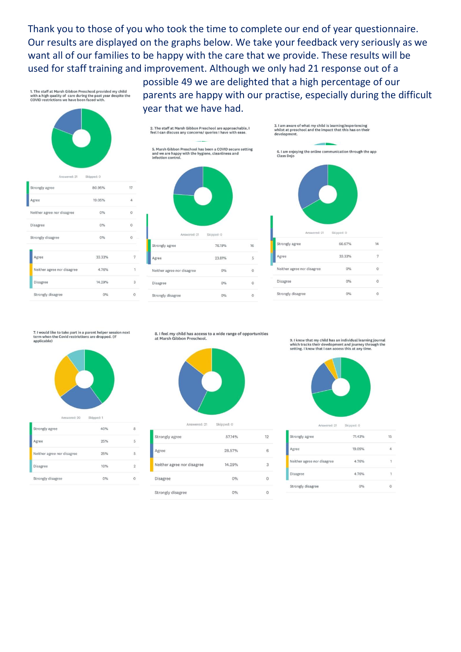Thank you to those of you who took the time to complete our end of year questionnaire. Our results are displayed on the graphs below. We take your feedback very seriously as we want all of our families to be happy with the care that we provide. These results will be used for staff training and improvement. Although we only had 21 response out of a

1. The staff at Marsh Gibbon Preschool provided my child<br>with a high quality of care during the past year despite th<br>COVID restrictions we have been faced with. nnu<br>to the possible 49 we are delighted that a high percentage of our parents are happy with our practise, especially during the difficult year that we have had.







7. I would like to take part in a parent helper session next<br>term when the Covid restrictions are dropped. (If<br>applicable)



Answered: 20 Skipped: 1

| Strongly agree             | 40% | 8              |
|----------------------------|-----|----------------|
| Agree                      | 25% | 5              |
| Neither agree nor disagree | 25% | 5              |
| Disagree                   | 10% | $\overline{2}$ |
| Strongly disagree          |     |                |

8. I feel my child has access to a wide range of opportunities at Marsh Gibbon Preschool.



| Answered: 21               | Skipped: 0 |    |
|----------------------------|------------|----|
| Strongly agree             | 57.14%     | 12 |
| Agree                      | 28.57%     | 6  |
| Neither agree nor disagree | 14.29%     | 3  |
| <b>Disagree</b>            | 0%         | Ω  |
| Strongly disagree          | 0%         |    |

9. I know that my child has an individual learning journal which tracks their development and journey through the<br>setting. I know that I can access this at any time.



Answered: 21 Skinned: 0

| Strongly agree             | 71.43% | 15 |
|----------------------------|--------|----|
| Agree                      | 19.05% |    |
| Neither agree nor disagree | 4.76%  | 1  |
| Disagree                   | 4.76%  | 1  |
| Strongly disagree          | 0%     | Ω  |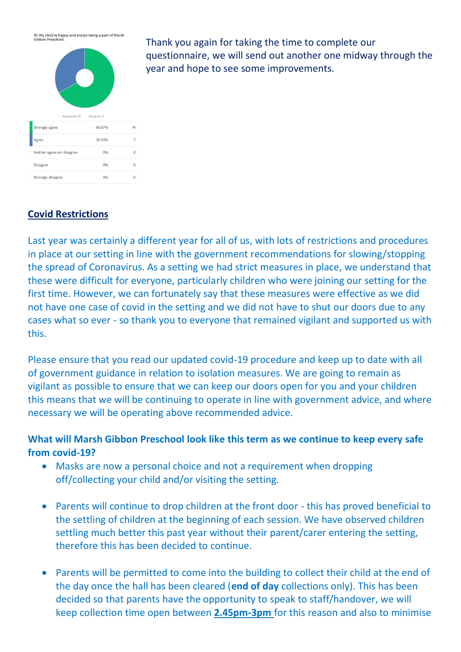10. My child is happy and enjoys being a part of Marsh<br>Gibbon Preschool.



 $0%$ 

 $0%$ 

 $\alpha$ 

 $\alpha$ 

Thank you again for taking the time to complete our questionnaire, we will send out another one midway through the year and hope to see some improvements.

### **Covid Restrictions**

Disagree

Strongly disagree

Last year was certainly a different year for all of us, with lots of restrictions and procedures in place at our setting in line with the government recommendations for slowing/stopping the spread of Coronavirus. As a setting we had strict measures in place, we understand that these were difficult for everyone, particularly children who were joining our setting for the first time. However, we can fortunately say that these measures were effective as we did not have one case of covid in the setting and we did not have to shut our doors due to any cases what so ever - so thank you to everyone that remained vigilant and supported us with this.

Please ensure that you read our updated covid-19 procedure and keep up to date with all of government guidance in relation to isolation measures. We are going to remain as vigilant as possible to ensure that we can keep our doors open for you and your children this means that we will be continuing to operate in line with government advice, and where necessary we will be operating above recommended advice.

# **What will Marsh Gibbon Preschool look like this term as we continue to keep every safe from covid-19?**

- Masks are now a personal choice and not a requirement when dropping off/collecting your child and/or visiting the setting.
- Parents will continue to drop children at the front door this has proved beneficial to the settling of children at the beginning of each session. We have observed children settling much better this past year without their parent/carer entering the setting, therefore this has been decided to continue.
- Parents will be permitted to come into the building to collect their child at the end of the day once the hall has been cleared (**end of day** collections only). This has been decided so that parents have the opportunity to speak to staff/handover, we will keep collection time open between **2.45pm-3pm** for this reason and also to minimise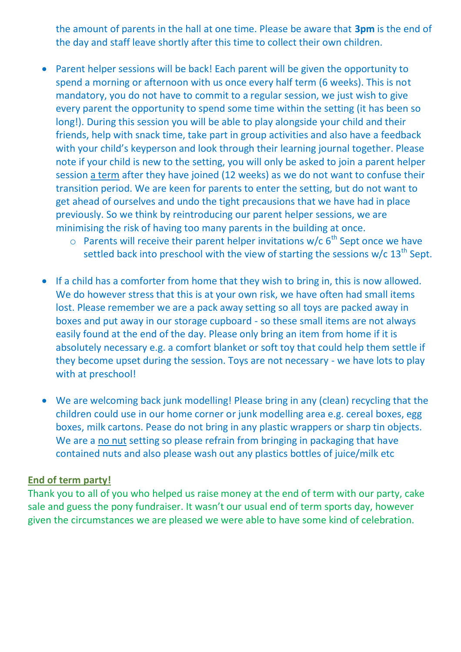the amount of parents in the hall at one time. Please be aware that **3pm** is the end of the day and staff leave shortly after this time to collect their own children.

- Parent helper sessions will be back! Each parent will be given the opportunity to spend a morning or afternoon with us once every half term (6 weeks). This is not mandatory, you do not have to commit to a regular session, we just wish to give every parent the opportunity to spend some time within the setting (it has been so long!). During this session you will be able to play alongside your child and their friends, help with snack time, take part in group activities and also have a feedback with your child's keyperson and look through their learning journal together. Please note if your child is new to the setting, you will only be asked to join a parent helper session a term after they have joined (12 weeks) as we do not want to confuse their transition period. We are keen for parents to enter the setting, but do not want to get ahead of ourselves and undo the tight precausions that we have had in place previously. So we think by reintroducing our parent helper sessions, we are minimising the risk of having too many parents in the building at once.
	- $\circ$  Parents will receive their parent helper invitations w/c  $6^{th}$  Sept once we have settled back into preschool with the view of starting the sessions  $w/c 13<sup>th</sup>$  Sept.
- If a child has a comforter from home that they wish to bring in, this is now allowed. We do however stress that this is at your own risk, we have often had small items lost. Please remember we are a pack away setting so all toys are packed away in boxes and put away in our storage cupboard - so these small items are not always easily found at the end of the day. Please only bring an item from home if it is absolutely necessary e.g. a comfort blanket or soft toy that could help them settle if they become upset during the session. Toys are not necessary - we have lots to play with at preschool!
- We are welcoming back junk modelling! Please bring in any (clean) recycling that the children could use in our home corner or junk modelling area e.g. cereal boxes, egg boxes, milk cartons. Pease do not bring in any plastic wrappers or sharp tin objects. We are a no nut setting so please refrain from bringing in packaging that have contained nuts and also please wash out any plastics bottles of juice/milk etc

#### **End of term party!**

Thank you to all of you who helped us raise money at the end of term with our party, cake sale and guess the pony fundraiser. It wasn't our usual end of term sports day, however given the circumstances we are pleased we were able to have some kind of celebration.